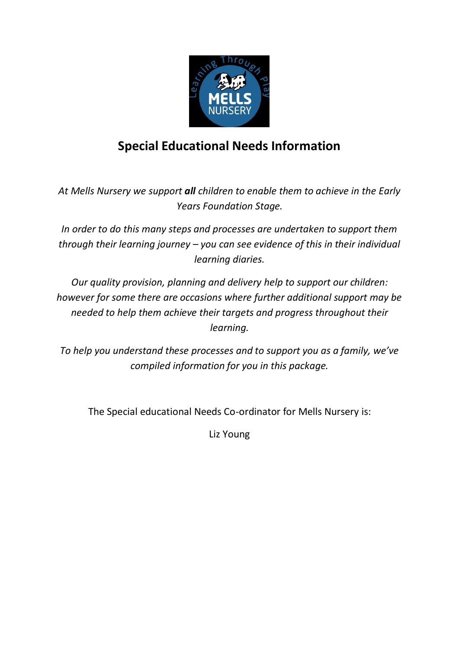

# **Special Educational Needs Information**

*At Mells Nursery we support all children to enable them to achieve in the Early Years Foundation Stage.*

*In order to do this many steps and processes are undertaken to support them through their learning journey – you can see evidence of this in their individual learning diaries.*

*Our quality provision, planning and delivery help to support our children: however for some there are occasions where further additional support may be needed to help them achieve their targets and progress throughout their learning.*

*To help you understand these processes and to support you as a family, we've compiled information for you in this package.*

The Special educational Needs Co-ordinator for Mells Nursery is:

Liz Young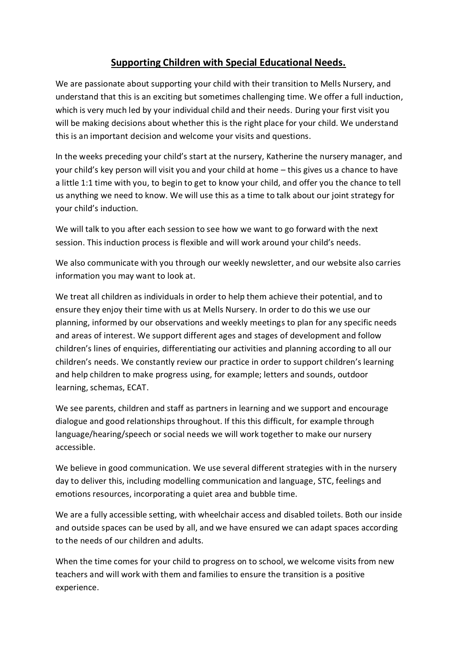## **Supporting Children with Special Educational Needs.**

We are passionate about supporting your child with their transition to Mells Nursery, and understand that this is an exciting but sometimes challenging time. We offer a full induction, which is very much led by your individual child and their needs. During your first visit you will be making decisions about whether this is the right place for your child. We understand this is an important decision and welcome your visits and questions.

In the weeks preceding your child's start at the nursery, Katherine the nursery manager, and your child's key person will visit you and your child at home – this gives us a chance to have a little 1:1 time with you, to begin to get to know your child, and offer you the chance to tell us anything we need to know. We will use this as a time to talk about our joint strategy for your child's induction.

We will talk to you after each session to see how we want to go forward with the next session. This induction process is flexible and will work around your child's needs.

We also communicate with you through our weekly newsletter, and our website also carries information you may want to look at.

We treat all children as individuals in order to help them achieve their potential, and to ensure they enjoy their time with us at Mells Nursery. In order to do this we use our planning, informed by our observations and weekly meetings to plan for any specific needs and areas of interest. We support different ages and stages of development and follow children's lines of enquiries, differentiating our activities and planning according to all our children's needs. We constantly review our practice in order to support children's learning and help children to make progress using, for example; letters and sounds, outdoor learning, schemas, ECAT.

We see parents, children and staff as partners in learning and we support and encourage dialogue and good relationships throughout. If this this difficult, for example through language/hearing/speech or social needs we will work together to make our nursery accessible.

We believe in good communication. We use several different strategies with in the nursery day to deliver this, including modelling communication and language, STC, feelings and emotions resources, incorporating a quiet area and bubble time.

We are a fully accessible setting, with wheelchair access and disabled toilets. Both our inside and outside spaces can be used by all, and we have ensured we can adapt spaces according to the needs of our children and adults.

When the time comes for your child to progress on to school, we welcome visits from new teachers and will work with them and families to ensure the transition is a positive experience.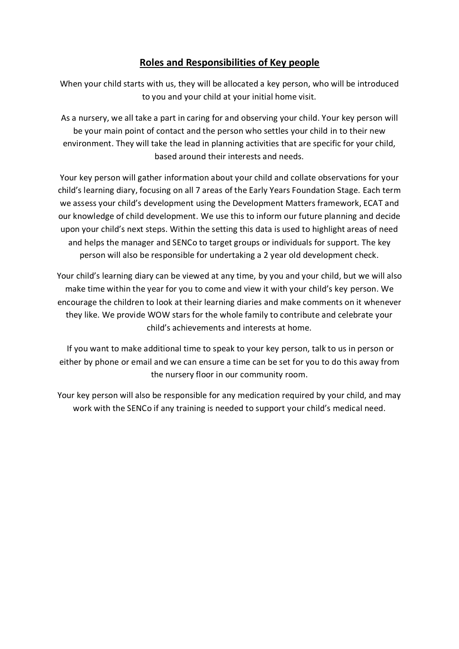## **Roles and Responsibilities of Key people**

When your child starts with us, they will be allocated a key person, who will be introduced to you and your child at your initial home visit.

As a nursery, we all take a part in caring for and observing your child. Your key person will be your main point of contact and the person who settles your child in to their new environment. They will take the lead in planning activities that are specific for your child, based around their interests and needs.

Your key person will gather information about your child and collate observations for your child's learning diary, focusing on all 7 areas of the Early Years Foundation Stage. Each term we assess your child's development using the Development Matters framework, ECAT and our knowledge of child development. We use this to inform our future planning and decide upon your child's next steps. Within the setting this data is used to highlight areas of need and helps the manager and SENCo to target groups or individuals for support. The key person will also be responsible for undertaking a 2 year old development check.

Your child's learning diary can be viewed at any time, by you and your child, but we will also make time within the year for you to come and view it with your child's key person. We encourage the children to look at their learning diaries and make comments on it whenever they like. We provide WOW stars for the whole family to contribute and celebrate your child's achievements and interests at home.

If you want to make additional time to speak to your key person, talk to us in person or either by phone or email and we can ensure a time can be set for you to do this away from the nursery floor in our community room.

Your key person will also be responsible for any medication required by your child, and may work with the SENCo if any training is needed to support your child's medical need.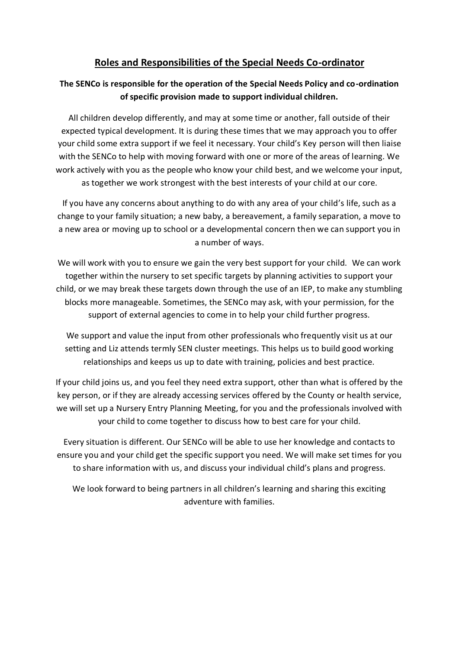## **Roles and Responsibilities of the Special Needs Co-ordinator**

#### **The SENCo is responsible for the operation of the Special Needs Policy and co-ordination of specific provision made to support individual children.**

All children develop differently, and may at some time or another, fall outside of their expected typical development. It is during these times that we may approach you to offer your child some extra support if we feel it necessary. Your child's Key person will then liaise with the SENCo to help with moving forward with one or more of the areas of learning. We work actively with you as the people who know your child best, and we welcome your input, as together we work strongest with the best interests of your child at our core.

If you have any concerns about anything to do with any area of your child's life, such as a change to your family situation; a new baby, a bereavement, a family separation, a move to a new area or moving up to school or a developmental concern then we can support you in a number of ways.

We will work with you to ensure we gain the very best support for your child. We can work together within the nursery to set specific targets by planning activities to support your child, or we may break these targets down through the use of an IEP, to make any stumbling blocks more manageable. Sometimes, the SENCo may ask, with your permission, for the support of external agencies to come in to help your child further progress.

We support and value the input from other professionals who frequently visit us at our setting and Liz attends termly SEN cluster meetings. This helps us to build good working relationships and keeps us up to date with training, policies and best practice.

If your child joins us, and you feel they need extra support, other than what is offered by the key person, or if they are already accessing services offered by the County or health service, we will set up a Nursery Entry Planning Meeting, for you and the professionals involved with your child to come together to discuss how to best care for your child.

Every situation is different. Our SENCo will be able to use her knowledge and contacts to ensure you and your child get the specific support you need. We will make set times for you to share information with us, and discuss your individual child's plans and progress.

We look forward to being partners in all children's learning and sharing this exciting adventure with families.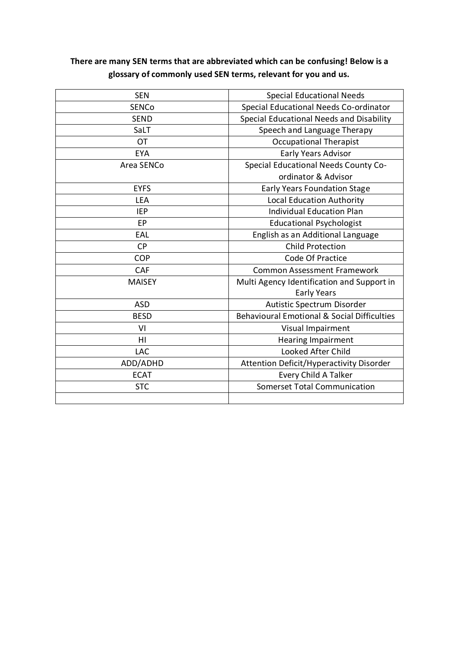# **There are many SEN terms that are abbreviated which can be confusing! Below is a glossary of commonly used SEN terms, relevant for you and us.**

| <b>SEN</b>    | <b>Special Educational Needs</b>                       |
|---------------|--------------------------------------------------------|
| <b>SENCo</b>  | Special Educational Needs Co-ordinator                 |
| <b>SEND</b>   | Special Educational Needs and Disability               |
| SaLT          | Speech and Language Therapy                            |
| <b>OT</b>     | <b>Occupational Therapist</b>                          |
| <b>EYA</b>    | <b>Early Years Advisor</b>                             |
| Area SENCo    | Special Educational Needs County Co-                   |
|               | ordinator & Advisor                                    |
| <b>EYFS</b>   | <b>Early Years Foundation Stage</b>                    |
| LEA           | <b>Local Education Authority</b>                       |
| <b>IEP</b>    | <b>Individual Education Plan</b>                       |
| EP            | <b>Educational Psychologist</b>                        |
| EAL           | English as an Additional Language                      |
| <b>CP</b>     | <b>Child Protection</b>                                |
| <b>COP</b>    | Code Of Practice                                       |
| <b>CAF</b>    | <b>Common Assessment Framework</b>                     |
| <b>MAISEY</b> | Multi Agency Identification and Support in             |
|               | <b>Early Years</b>                                     |
| <b>ASD</b>    | Autistic Spectrum Disorder                             |
| <b>BESD</b>   | <b>Behavioural Emotional &amp; Social Difficulties</b> |
| VI            | Visual Impairment                                      |
| HI            | Hearing Impairment                                     |
| LAC           | Looked After Child                                     |
| ADD/ADHD      | <b>Attention Deficit/Hyperactivity Disorder</b>        |
| <b>ECAT</b>   | Every Child A Talker                                   |
| <b>STC</b>    | <b>Somerset Total Communication</b>                    |
|               |                                                        |